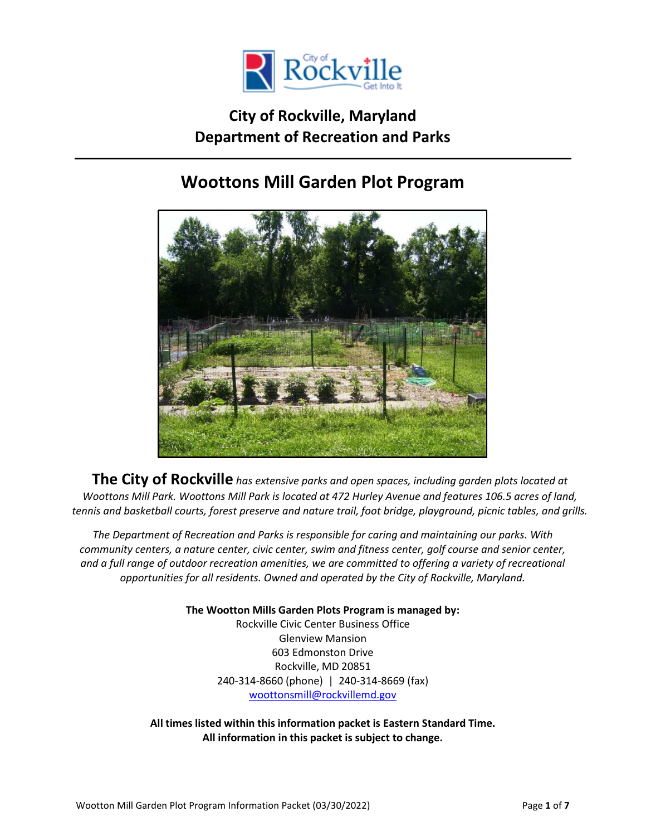

# **City of Rockville, Maryland Department of Recreation and Parks**

# **Woottons Mill Garden Plot Program**



**The City of Rockville** *has extensive parks and open spaces, including garden plots located at Woottons Mill Park. Woottons Mill Park is located at 472 Hurley Avenue and features 106.5 acres of land, tennis and basketball courts, forest preserve and nature trail, foot bridge, playground, picnic tables, and grills.*

*The Department of Recreation and Parks is responsible for caring and maintaining our parks. With community centers, a nature center, civic center, swim and fitness center, golf course and senior center, and a full range of outdoor recreation amenities, we are committed to offering a variety of recreational opportunities for all residents. Owned and operated by the City of Rockville, Maryland.*

**The Wootton Mills Garden Plots Program is managed by:**

Rockville Civic Center Business Office Glenview Mansion 603 Edmonston Drive Rockville, MD 20851 240-314-8660 (phone) | 240-314-8669 (fax) [woottonsmill@rockvillemd.gov](mailto:woottonsmill@rockvillemd.gov)

**All times listed within this information packet is Eastern Standard Time. All information in this packet is subject to change.**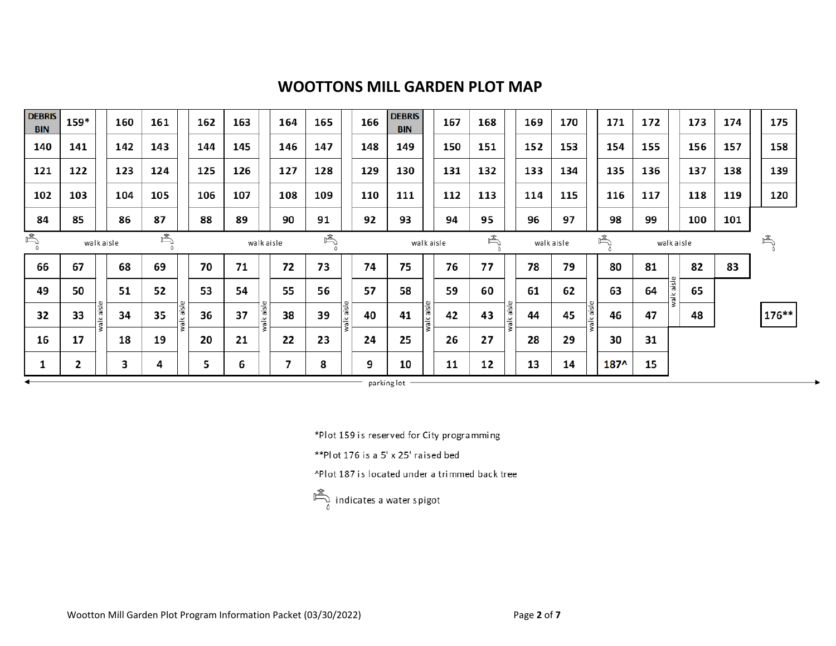## **WOOTTONS MILL GARDEN PLOT MAP**

| <b>DEBRIS</b><br><b>BIN</b> | 159*       | 160              | 161 |            | 162 | 163 |                            | 164 | 165 |            | 166        | <b>DEBRIS</b><br><b>BIN</b> |           | 167 | 168 |            | 169        | 170 |            | 171    | 172 |            | 173 | 174 |   | 175     |
|-----------------------------|------------|------------------|-----|------------|-----|-----|----------------------------|-----|-----|------------|------------|-----------------------------|-----------|-----|-----|------------|------------|-----|------------|--------|-----|------------|-----|-----|---|---------|
| 140                         | 141        | 142              | 143 |            | 144 | 145 |                            | 146 | 147 |            | 148        | 149                         |           | 150 | 151 |            | 152        | 153 |            | 154    | 155 |            | 156 | 157 |   | 158     |
| 121                         | 122        | 123              | 124 |            | 125 | 126 |                            | 127 | 128 |            | 129        | 130                         |           | 131 | 132 |            | 133        | 134 |            | 135    | 136 |            | 137 | 138 |   | 139     |
| 102                         | 103        | 104              | 105 |            | 106 | 107 |                            | 108 | 109 |            | 110        | 111                         |           | 112 | 113 |            | 114        | 115 |            | 116    | 117 |            | 118 | 119 |   | 120     |
| 84                          | 85         | 86               | 87  |            | 88  | 89  |                            | 90  | 91  |            | 92         | 93                          |           | 94  | 95  |            | 96         | 97  |            | 98     | 99  |            | 100 | 101 |   |         |
| 禹                           | walk aisle |                  |     | 禹          |     |     | $\mathbb{P}$<br>walk aisle |     |     |            | walk aisle |                             |           | 鸟   |     |            | walk aisle |     |            | 圖      |     | walk aisle |     |     | 禹 |         |
| 66                          | 67         | 68               | 69  |            | 70  | 71  |                            | 72  | 73  |            | 74         | 75                          |           | 76  | 77  |            | 78         | 79  |            | 80     | 81  |            | 82  | 83  |   |         |
| 49                          | 50         | 51               | 52  |            | 53  | 54  |                            | 55  | 56  |            | 57         | 58                          |           | 59  | 60  |            | 61         | 62  |            | 63     | 64  | valk aisl  | 65  |     |   |         |
| 32                          | 33         | walk aisle<br>34 | 35  | walk aisle | 36  | 37  | walk aisle                 | 38  | 39  | walk aisle | 40         | 41                          | Isie yle: | 42  | 43  | walk aisle | 44         | 45  | walk aisle | 46     | 47  |            | 48  |     |   | $176**$ |
| 16                          | 17         | 18               | 19  |            | 20  | 21  |                            | 22  | 23  |            | 24         | 25                          |           | 26  | 27  |            | 28         | 29  |            | 30     | 31  |            |     |     |   |         |
| ┸                           | 2          | 3                | 4   |            | 5   | 6   |                            | 7   | 8   |            | 9          | 10                          |           | 11  | 12  |            | 13         | 14  |            | $187^$ | 15  |            |     |     |   |         |

parking lot  $-$ 

\*Plot 159 is reserved for City programming

\*\* Plot 176 is a 5' x 25' raised bed

^Plot 187 is located under a trimmed back tree

$$
\overbrace{\hspace{25pt}}^{\text{max}}_{\text{0}}\ \ \text{indicates a water spigot}
$$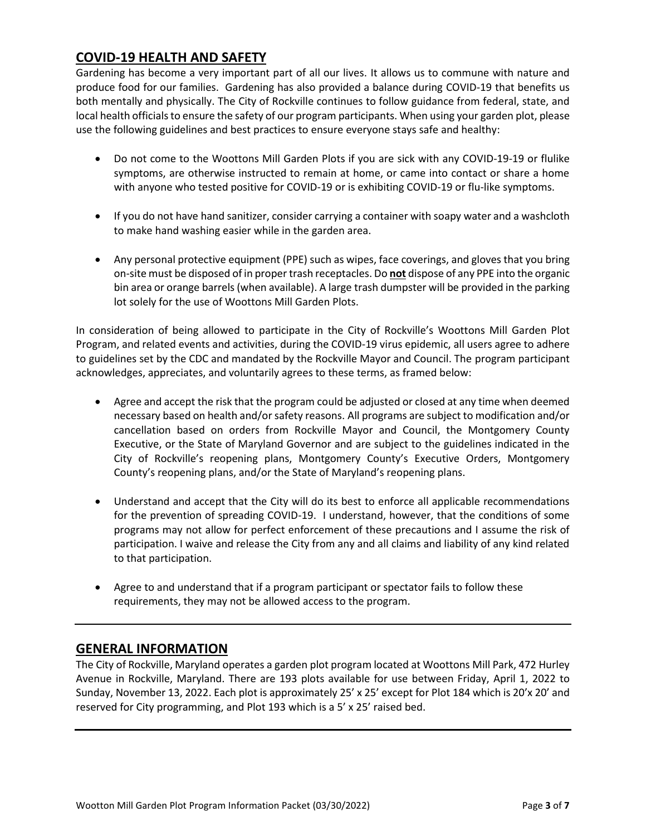### **COVID-19 HEALTH AND SAFETY**

Gardening has become a very important part of all our lives. It allows us to commune with nature and produce food for our families. Gardening has also provided a balance during COVID-19 that benefits us both mentally and physically. The City of Rockville continues to follow guidance from federal, state, and local health officials to ensure the safety of our program participants. When using your garden plot, please use the following guidelines and best practices to ensure everyone stays safe and healthy:

- Do not come to the Woottons Mill Garden Plots if you are sick with any COVID-19-19 or flulike symptoms, are otherwise instructed to remain at home, or came into contact or share a home with anyone who tested positive for COVID-19 or is exhibiting COVID-19 or flu-like symptoms.
- If you do not have hand sanitizer, consider carrying a container with soapy water and a washcloth to make hand washing easier while in the garden area.
- Any personal protective equipment (PPE) such as wipes, face coverings, and gloves that you bring on-site must be disposed of in proper trash receptacles. Do **not** dispose of any PPE into the organic bin area or orange barrels (when available). A large trash dumpster will be provided in the parking lot solely for the use of Woottons Mill Garden Plots.

In consideration of being allowed to participate in the City of Rockville's Woottons Mill Garden Plot Program, and related events and activities, during the COVID-19 virus epidemic, all users agree to adhere to guidelines set by the CDC and mandated by the Rockville Mayor and Council. The program participant acknowledges, appreciates, and voluntarily agrees to these terms, as framed below:

- Agree and accept the risk that the program could be adjusted or closed at any time when deemed necessary based on health and/or safety reasons. All programs are subject to modification and/or cancellation based on orders from Rockville Mayor and Council, the Montgomery County Executive, or the State of Maryland Governor and are subject to the guidelines indicated in the City of Rockville's reopening plans, Montgomery County's Executive Orders, Montgomery County's reopening plans, and/or the State of Maryland's reopening plans.
- Understand and accept that the City will do its best to enforce all applicable recommendations for the prevention of spreading COVID-19. I understand, however, that the conditions of some programs may not allow for perfect enforcement of these precautions and I assume the risk of participation. I waive and release the City from any and all claims and liability of any kind related to that participation.
- Agree to and understand that if a program participant or spectator fails to follow these requirements, they may not be allowed access to the program.

### **GENERAL INFORMATION**

The City of Rockville, Maryland operates a garden plot program located at Woottons Mill Park, 472 Hurley Avenue in Rockville, Maryland. There are 193 plots available for use between Friday, April 1, 2022 to Sunday, November 13, 2022. Each plot is approximately 25' x 25' except for Plot 184 which is 20'x 20' and reserved for City programming, and Plot 193 which is a 5' x 25' raised bed.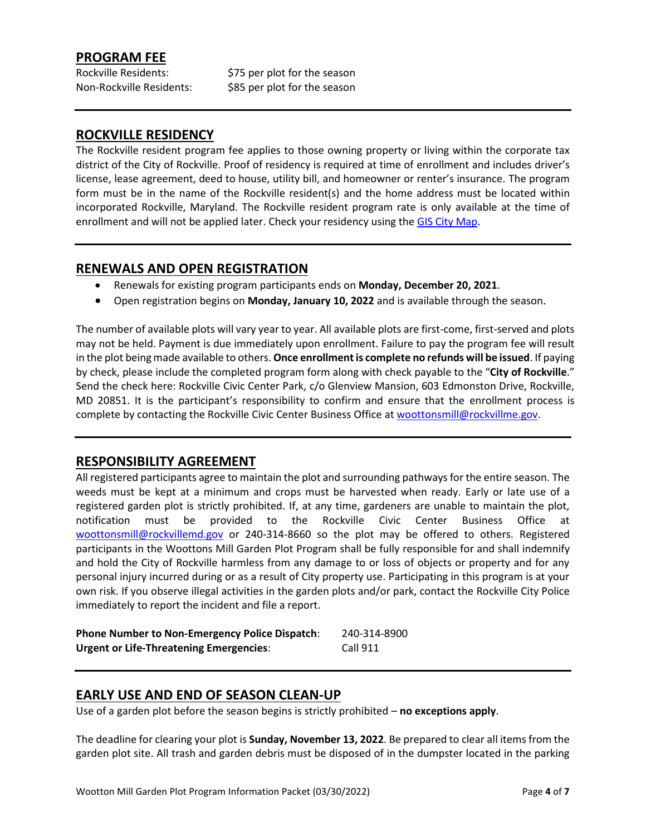### **PROGRAM FEE**

Rockville Residents:  $$75$  per plot for the season Non-Rockville Residents: \$85 per plot for the season

### **ROCKVILLE RESIDENCY**

The Rockville resident program fee applies to those owning property or living within the corporate tax district of the City of Rockville. Proof of residency is required at time of enrollment and includes driver's license, lease agreement, deed to house, utility bill, and homeowner or renter's insurance. The program form must be in the name of the Rockville resident(s) and the home address must be located within incorporated Rockville, Maryland. The Rockville resident program rate is only available at the time of enrollment and will not be applied later. Check your residency using the [GIS City Map.](https://rockvillemd.maps.arcgis.com/apps/webappviewer/index.html?id=0aa9fe18b6c64b46a61230da64a2b2fd)

#### **RENEWALS AND OPEN REGISTRATION**

- Renewals for existing program participants ends on **Monday, December 20, 2021**.
- Open registration begins on **Monday, January 10, 2022** and is available through the season.

The number of available plots will vary year to year. All available plots are first-come, first-served and plots may not be held. Payment is due immediately upon enrollment. Failure to pay the program fee will result in the plot being made available to others. **Once enrollment is complete no refunds will be issued**. If paying by check, please include the completed program form along with check payable to the "**City of Rockville**." Send the check here: Rockville Civic Center Park, c/o Glenview Mansion, 603 Edmonston Drive, Rockville, MD 20851. It is the participant's responsibility to confirm and ensure that the enrollment process is complete by contacting the Rockville Civic Center Business Office at [woottonsmill@rockvillme.gov.](mailto:woottonsmill@rockvillme.gov)

#### **RESPONSIBILITY AGREEMENT**

All registered participants agree to maintain the plot and surrounding pathways for the entire season. The weeds must be kept at a minimum and crops must be harvested when ready. Early or late use of a registered garden plot is strictly prohibited. If, at any time, gardeners are unable to maintain the plot, notification must be provided to the Rockville Civic Center Business Office at [woottonsmill@rockvillemd.gov](mailto:woottonsmill@rockvillemd.gov) or 240-314-8660 so the plot may be offered to others. Registered participants in the Woottons Mill Garden Plot Program shall be fully responsible for and shall indemnify and hold the City of Rockville harmless from any damage to or loss of objects or property and for any personal injury incurred during or as a result of City property use. Participating in this program is at your own risk. If you observe illegal activities in the garden plots and/or park, contact the Rockville City Police immediately to report the incident and file a report.

| <b>Phone Number to Non-Emergency Police Dispatch:</b> | 240-314-8900    |
|-------------------------------------------------------|-----------------|
| <b>Urgent or Life-Threatening Emergencies:</b>        | <b>Call 911</b> |

#### **EARLY USE AND END OF SEASON CLEAN-UP**

Use of a garden plot before the season begins is strictly prohibited – **no exceptions apply**.

The deadline for clearing your plot is **Sunday, November 13, 2022**. Be prepared to clear all items from the garden plot site. All trash and garden debris must be disposed of in the dumpster located in the parking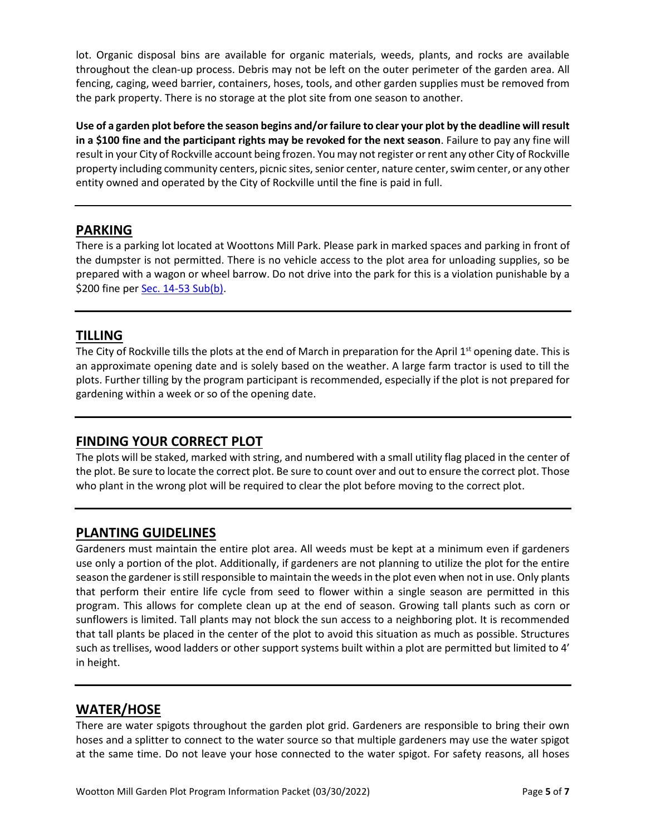lot. Organic disposal bins are available for organic materials, weeds, plants, and rocks are available throughout the clean-up process. Debris may not be left on the outer perimeter of the garden area. All fencing, caging, weed barrier, containers, hoses, tools, and other garden supplies must be removed from the park property. There is no storage at the plot site from one season to another.

**Use of a garden plot before the season begins and/or failure to clear your plot by the deadline will result in a \$100 fine and the participant rights may be revoked for the next season**. Failure to pay any fine will result in your City of Rockville account being frozen. You may not register or rent any other City of Rockville property including community centers, picnic sites, senior center, nature center, swim center, or any other entity owned and operated by the City of Rockville until the fine is paid in full.

### **PARKING**

There is a parking lot located at Woottons Mill Park. Please park in marked spaces and parking in front of the dumpster is not permitted. There is no vehicle access to the plot area for unloading supplies, so be prepared with a wagon or wheel barrow. Do not drive into the park for this is a violation punishable by a \$200 fine per [Sec. 14-53 Sub\(b\).](https://library.municode.com/md/rockville/codes/code_of_ordinances?nodeId=CICO_CH14PARE)

### **TILLING**

The City of Rockville tills the plots at the end of March in preparation for the April  $1<sup>st</sup>$  opening date. This is an approximate opening date and is solely based on the weather. A large farm tractor is used to till the plots. Further tilling by the program participant is recommended, especially if the plot is not prepared for gardening within a week or so of the opening date.

### **FINDING YOUR CORRECT PLOT**

The plots will be staked, marked with string, and numbered with a small utility flag placed in the center of the plot. Be sure to locate the correct plot. Be sure to count over and out to ensure the correct plot. Those who plant in the wrong plot will be required to clear the plot before moving to the correct plot.

### **PLANTING GUIDELINES**

Gardeners must maintain the entire plot area. All weeds must be kept at a minimum even if gardeners use only a portion of the plot. Additionally, if gardeners are not planning to utilize the plot for the entire season the gardener is still responsible to maintain the weeds in the plot even when not in use. Only plants that perform their entire life cycle from seed to flower within a single season are permitted in this program. This allows for complete clean up at the end of season. Growing tall plants such as corn or sunflowers is limited. Tall plants may not block the sun access to a neighboring plot. It is recommended that tall plants be placed in the center of the plot to avoid this situation as much as possible. Structures such as trellises, wood ladders or other support systems built within a plot are permitted but limited to 4' in height.

### **WATER/HOSE**

There are water spigots throughout the garden plot grid. Gardeners are responsible to bring their own hoses and a splitter to connect to the water source so that multiple gardeners may use the water spigot at the same time. Do not leave your hose connected to the water spigot. For safety reasons, all hoses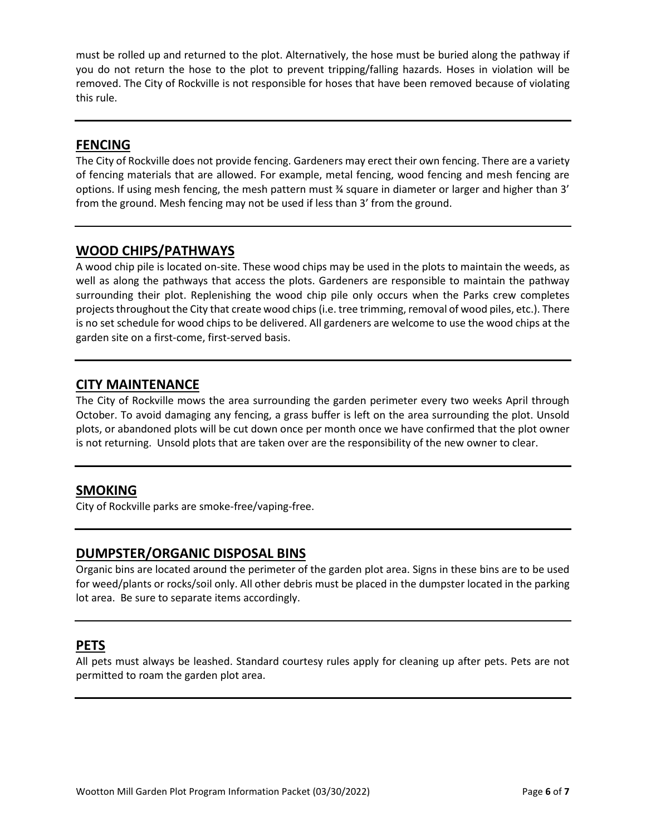must be rolled up and returned to the plot. Alternatively, the hose must be buried along the pathway if you do not return the hose to the plot to prevent tripping/falling hazards. Hoses in violation will be removed. The City of Rockville is not responsible for hoses that have been removed because of violating this rule.

### **FENCING**

The City of Rockville does not provide fencing. Gardeners may erect their own fencing. There are a variety of fencing materials that are allowed. For example, metal fencing, wood fencing and mesh fencing are options. If using mesh fencing, the mesh pattern must ¾ square in diameter or larger and higher than 3' from the ground. Mesh fencing may not be used if less than 3' from the ground.

#### **WOOD CHIPS/PATHWAYS**

A wood chip pile is located on-site. These wood chips may be used in the plots to maintain the weeds, as well as along the pathways that access the plots. Gardeners are responsible to maintain the pathway surrounding their plot. Replenishing the wood chip pile only occurs when the Parks crew completes projects throughout the City that create wood chips (i.e. tree trimming, removal of wood piles, etc.). There is no set schedule for wood chips to be delivered. All gardeners are welcome to use the wood chips at the garden site on a first-come, first-served basis.

### **CITY MAINTENANCE**

The City of Rockville mows the area surrounding the garden perimeter every two weeks April through October. To avoid damaging any fencing, a grass buffer is left on the area surrounding the plot. Unsold plots, or abandoned plots will be cut down once per month once we have confirmed that the plot owner is not returning. Unsold plots that are taken over are the responsibility of the new owner to clear.

#### **SMOKING**

City of Rockville parks are smoke-free/vaping-free.

#### **DUMPSTER/ORGANIC DISPOSAL BINS**

Organic bins are located around the perimeter of the garden plot area. Signs in these bins are to be used for weed/plants or rocks/soil only. All other debris must be placed in the dumpster located in the parking lot area. Be sure to separate items accordingly.

#### **PETS**

All pets must always be leashed. Standard courtesy rules apply for cleaning up after pets. Pets are not permitted to roam the garden plot area.